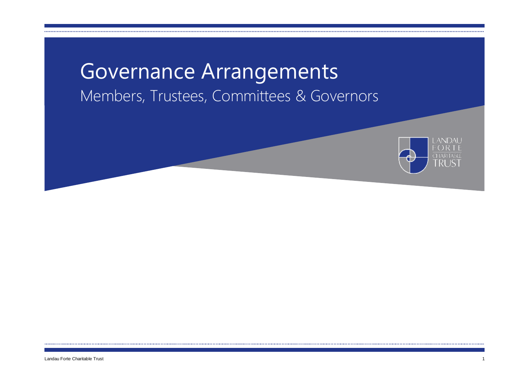# Governance Arrangements Members, Trustees, Committees & Governors

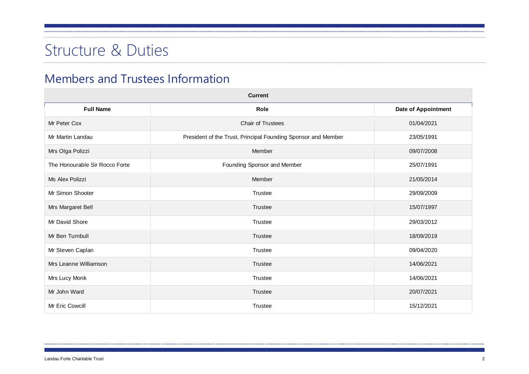# Structure & Duties

### Members and Trustees Information

| <b>Current</b>                 |                                                               |                     |  |  |  |  |  |
|--------------------------------|---------------------------------------------------------------|---------------------|--|--|--|--|--|
| <b>Full Name</b>               | Role                                                          | Date of Appointment |  |  |  |  |  |
| Mr Peter Cox                   | Chair of Trustees                                             | 01/04/2021          |  |  |  |  |  |
| Mr Martin Landau               | President of the Trust, Principal Founding Sponsor and Member | 23/05/1991          |  |  |  |  |  |
| Mrs Olga Polizzi               | Member                                                        | 09/07/2008          |  |  |  |  |  |
| The Honourable Sir Rocco Forte | Founding Sponsor and Member                                   | 25/07/1991          |  |  |  |  |  |
| Ms Alex Polizzi                | Member                                                        | 21/05/2014          |  |  |  |  |  |
| Mr Simon Shooter               | <b>Trustee</b>                                                | 29/09/2009          |  |  |  |  |  |
| Mrs Margaret Bell              | <b>Trustee</b>                                                | 15/07/1997          |  |  |  |  |  |
| Mr David Shore                 | <b>Trustee</b>                                                | 29/03/2012          |  |  |  |  |  |
| Mr Ben Turnbull                | <b>Trustee</b>                                                | 18/09/2019          |  |  |  |  |  |
| Mr Steven Caplan               | <b>Trustee</b>                                                | 09/04/2020          |  |  |  |  |  |
| Mrs Leanne Williamson          | <b>Trustee</b>                                                | 14/06/2021          |  |  |  |  |  |
| Mrs Lucy Monk                  | <b>Trustee</b>                                                | 14/06/2021          |  |  |  |  |  |
| Mr John Ward                   | <b>Trustee</b>                                                | 20/07/2021          |  |  |  |  |  |
| Mr Eric Cowcill                | <b>Trustee</b>                                                | 15/12/2021          |  |  |  |  |  |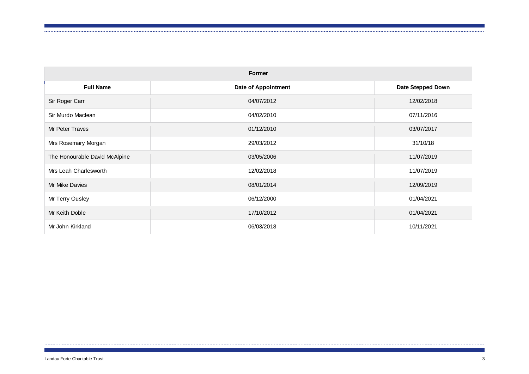| <b>Former</b>                 |                     |                          |  |  |  |  |
|-------------------------------|---------------------|--------------------------|--|--|--|--|
| <b>Full Name</b>              | Date of Appointment | <b>Date Stepped Down</b> |  |  |  |  |
| Sir Roger Carr                | 04/07/2012          | 12/02/2018               |  |  |  |  |
| Sir Murdo Maclean             | 04/02/2010          | 07/11/2016               |  |  |  |  |
| Mr Peter Traves               | 01/12/2010          | 03/07/2017               |  |  |  |  |
| Mrs Rosemary Morgan           | 29/03/2012          | 31/10/18                 |  |  |  |  |
| The Honourable David McAlpine | 03/05/2006          | 11/07/2019               |  |  |  |  |
| Mrs Leah Charlesworth         | 12/02/2018          | 11/07/2019               |  |  |  |  |
| Mr Mike Davies                | 08/01/2014          | 12/09/2019               |  |  |  |  |
| Mr Terry Ousley               | 06/12/2000          | 01/04/2021               |  |  |  |  |
| Mr Keith Doble                | 17/10/2012          | 01/04/2021               |  |  |  |  |
| Mr John Kirkland              | 06/03/2018          | 10/11/2021               |  |  |  |  |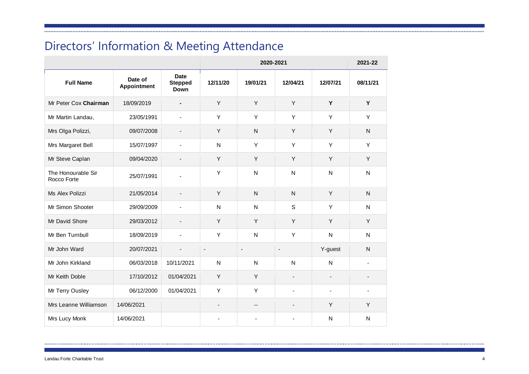# Directors' Information & Meeting Attendance

|                                   |                        |                                       | 2020-2021                |                |                |                          | 2021-22        |
|-----------------------------------|------------------------|---------------------------------------|--------------------------|----------------|----------------|--------------------------|----------------|
| <b>Full Name</b>                  | Date of<br>Appointment | <b>Date</b><br><b>Stepped</b><br>Down | 12/11/20                 | 19/01/21       | 12/04/21       | 12/07/21                 | 08/11/21       |
| Mr Peter Cox Chairman             | 18/09/2019             |                                       | Y                        | Y              | Y              | Y                        | Y              |
| Mr Martin Landau,                 | 23/05/1991             |                                       | Υ                        | Υ              | Y              | Y                        | Y              |
| Mrs Olga Polizzi,                 | 09/07/2008             |                                       | Υ                        | $\mathsf{N}$   | Y              | Y                        | N              |
| Mrs Margaret Bell                 | 15/07/1997             |                                       | N                        | Y              | Y              | Y                        | Y              |
| Mr Steve Caplan                   | 09/04/2020             | $\overline{\phantom{a}}$              | Υ                        | Y              | Y              | Y                        | Y              |
| The Honourable Sir<br>Rocco Forte | 25/07/1991             |                                       | Υ                        | $\mathsf{N}$   | $\mathsf{N}$   | N                        | $\mathsf{N}$   |
| Ms Alex Polizzi                   | 21/05/2014             |                                       | Υ                        | $\mathsf{N}$   | $\mathsf{N}$   | Y                        | $\mathsf{N}$   |
| Mr Simon Shooter                  | 29/09/2009             |                                       | $\mathsf{N}$             | ${\sf N}$      | $\mathsf S$    | Y                        | ${\sf N}$      |
| Mr David Shore                    | 29/03/2012             |                                       | Υ                        | Y              | Y              | Y                        | Υ              |
| Mr Ben Turnbull                   | 18/09/2019             |                                       | Υ                        | ${\sf N}$      | Y              | N                        | $\mathsf{N}$   |
| Mr John Ward                      | 20/07/2021             |                                       | $\overline{\phantom{a}}$ | $\blacksquare$ | $\blacksquare$ | Y-guest                  | N              |
| Mr John Kirkland                  | 06/03/2018             | 10/11/2021                            | N                        | $\mathsf{N}$   | $\mathsf{N}$   | N                        |                |
| Mr Keith Doble                    | 17/10/2012             | 01/04/2021                            | Y                        | Y              |                |                          |                |
| Mr Terry Ousley                   | 06/12/2000             | 01/04/2021                            | Y                        | Y              | ÷,             | $\overline{\phantom{a}}$ | $\overline{a}$ |
| Mrs Leanne Williamson             | 14/06/2021             |                                       |                          | --             |                | Y                        | Y              |
| Mrs Lucy Monk                     | 14/06/2021             |                                       |                          |                |                | N                        | $\mathsf{N}$   |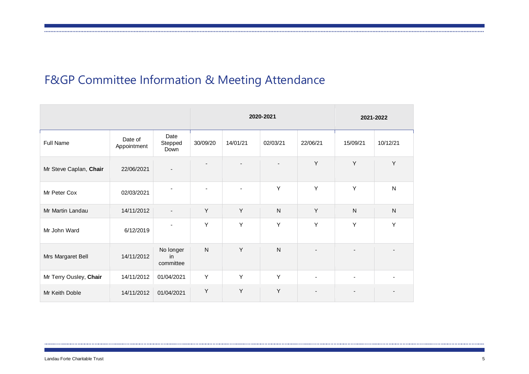# F&GP Committee Information & Meeting Attendance

|                        | 2020-2021                              |                              |                |          | 2021-2022    |                          |                          |              |
|------------------------|----------------------------------------|------------------------------|----------------|----------|--------------|--------------------------|--------------------------|--------------|
| <b>Full Name</b>       | Date of<br>Appointment                 | Date<br>Stepped<br>Down      | 30/09/20       | 14/01/21 | 02/03/21     | 22/06/21                 | 15/09/21                 | 10/12/21     |
| Mr Steve Caplan, Chair | 22/06/2021<br>$\overline{\phantom{a}}$ |                              |                |          |              | Y                        | Y                        | Y            |
| Mr Peter Cox           | 02/03/2021                             | ÷,                           | $\blacksquare$ | ٠        | Y            | Y                        | Y                        | ${\sf N}$    |
| Mr Martin Landau       | 14/11/2012                             | $\blacksquare$               | Y              | Y        | N            | Y                        | $\mathsf{N}$             | $\mathsf{N}$ |
| Mr John Ward           | 6/12/2019                              | ٠                            | Y              | Y        | Y            | Y                        | Y                        | Y            |
| Mrs Margaret Bell      | 14/11/2012                             | No longer<br>in<br>committee | $\mathsf{N}$   | Y        | $\mathsf{N}$ | $\overline{\phantom{a}}$ | $\overline{\phantom{a}}$ |              |
| Mr Terry Ousley, Chair | 14/11/2012                             | 01/04/2021                   | Y              | Y        | Y            | $\blacksquare$           | $\blacksquare$           |              |
| Mr Keith Doble         | 14/11/2012                             | 01/04/2021                   | Y              | Υ        | Y            | $\blacksquare$           |                          |              |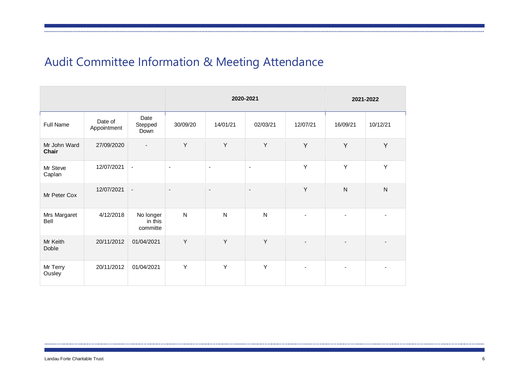# Audit Committee Information & Meeting Attendance

|                       |                        |                                  | 2020-2021                |                          |                          |                | 2021-2022      |           |
|-----------------------|------------------------|----------------------------------|--------------------------|--------------------------|--------------------------|----------------|----------------|-----------|
| Full Name             | Date of<br>Appointment | Date<br>Stepped<br>Down          | 30/09/20                 | 14/01/21                 | 02/03/21                 | 12/07/21       | 16/09/21       | 10/12/21  |
| Mr John Ward<br>Chair | 27/09/2020             | $\overline{\phantom{a}}$         | Y                        | Υ                        | Υ                        | Y              | Y              | Y         |
| Mr Steve<br>Caplan    | 12/07/2021             | $\blacksquare$                   | $\blacksquare$           | $\blacksquare$           | $\blacksquare$           | Y              | Y              | Y         |
| Mr Peter Cox          | 12/07/2021             | $\blacksquare$                   | $\overline{\phantom{a}}$ | $\overline{\phantom{a}}$ | $\overline{\phantom{a}}$ | Y              | ${\sf N}$      | ${\sf N}$ |
| Mrs Margaret<br>Bell  | 4/12/2018              | No longer<br>in this<br>committe | ${\sf N}$                | ${\sf N}$                | ${\sf N}$                |                |                |           |
| Mr Keith<br>Doble     | 20/11/2012             | 01/04/2021                       | Y                        | Y                        | Y                        |                |                |           |
| Mr Terry<br>Ousley    | 20/11/2012             | 01/04/2021                       | Y                        | Y                        | Υ                        | $\blacksquare$ | $\blacksquare$ |           |